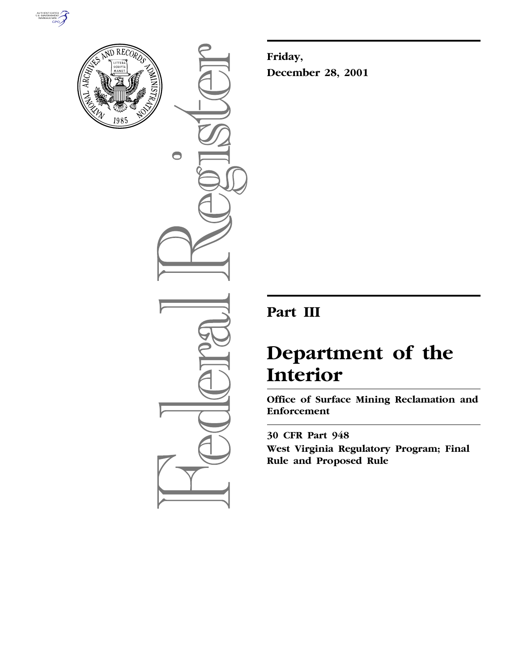



 $\bigcirc$ 

**Friday, December 28, 2001**

# **Part III**

# **Department of the Interior**

**Office of Surface Mining Reclamation and Enforcement**

**30 CFR Part 948 West Virginia Regulatory Program; Final Rule and Proposed Rule**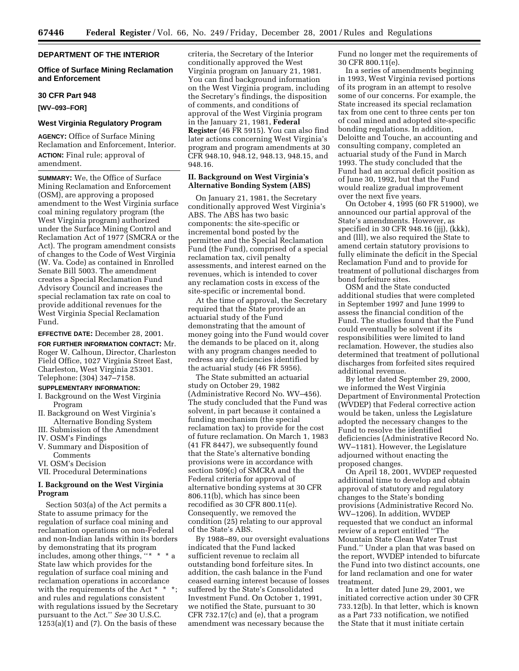# **DEPARTMENT OF THE INTERIOR**

# **Office of Surface Mining Reclamation and Enforcement**

#### **30 CFR Part 948**

**[WV–093–FOR]**

#### **West Virginia Regulatory Program**

**AGENCY:** Office of Surface Mining Reclamation and Enforcement, Interior. **ACTION:** Final rule; approval of amendment.

**SUMMARY:** We, the Office of Surface Mining Reclamation and Enforcement (OSM), are approving a proposed amendment to the West Virginia surface coal mining regulatory program (the West Virginia program) authorized under the Surface Mining Control and Reclamation Act of 1977 (SMCRA or the Act). The program amendment consists of changes to the Code of West Virginia (W. Va. Code) as contained in Enrolled Senate Bill 5003. The amendment creates a Special Reclamation Fund Advisory Council and increases the special reclamation tax rate on coal to provide additional revenues for the West Virginia Special Reclamation Fund.

**EFFECTIVE DATE:** December 28, 2001.

**FOR FURTHER INFORMATION CONTACT:** Mr. Roger W. Calhoun, Director, Charleston Field Office, 1027 Virginia Street East, Charleston, West Virginia 25301. Telephone: (304) 347–7158.

#### **SUPPLEMENTARY INFORMATION:**

- I. Background on the West Virginia Program
- II. Background on West Virginia's Alternative Bonding System
- III. Submission of the Amendment IV. OSM's Findings
- 
- V. Summary and Disposition of Comments
- VI. OSM's Decision
- VII. Procedural Determinations

#### **I. Background on the West Virginia Program**

Section 503(a) of the Act permits a State to assume primacy for the regulation of surface coal mining and reclamation operations on non-Federal and non-Indian lands within its borders by demonstrating that its program includes, among other things, ''\* \* \* a State law which provides for the regulation of surface coal mining and reclamation operations in accordance with the requirements of the Act  $*$   $*$ and rules and regulations consistent with regulations issued by the Secretary pursuant to the Act.'' *See* 30 U.S.C.  $1253(a)(1)$  and  $(7)$ . On the basis of these

criteria, the Secretary of the Interior conditionally approved the West Virginia program on January 21, 1981. You can find background information on the West Virginia program, including the Secretary's findings, the disposition of comments, and conditions of approval of the West Virginia program in the January 21, 1981, **Federal Register** (46 FR 5915). You can also find later actions concerning West Virginia's program and program amendments at 30 CFR 948.10, 948.12, 948.13, 948.15, and 948.16.

# **II. Background on West Virginia's Alternative Bonding System (ABS)**

On January 21, 1981, the Secretary conditionally approved West Virginia's ABS. The ABS has two basic components: the site-specific or incremental bond posted by the permittee and the Special Reclamation Fund (the Fund), comprised of a special reclamation tax, civil penalty assessments, and interest earned on the revenues, which is intended to cover any reclamation costs in excess of the site-specific or incremental bond.

At the time of approval, the Secretary required that the State provide an actuarial study of the Fund demonstrating that the amount of money going into the Fund would cover the demands to be placed on it, along with any program changes needed to redress any deficiencies identified by the actuarial study (46 FR 5956).

The State submitted an actuarial study on October 29, 1982 (Administrative Record No. WV–456). The study concluded that the Fund was solvent, in part because it contained a funding mechanism (the special reclamation tax) to provide for the cost of future reclamation. On March 1, 1983 (41 FR 8447), we subsequently found that the State's alternative bonding provisions were in accordance with section 509(c) of SMCRA and the Federal criteria for approval of alternative bonding systems at 30 CFR 806.11(b), which has since been recodified as 30 CFR 800.11(e). Consequently, we removed the condition (25) relating to our approval of the State's ABS.

By 1988–89, our oversight evaluations indicated that the Fund lacked sufficient revenue to reclaim all outstanding bond forfeiture sites. In addition, the cash balance in the Fund ceased earning interest because of losses suffered by the State's Consolidated Investment Fund. On October 1, 1991, we notified the State, pursuant to 30 CFR 732.17(c) and (e), that a program amendment was necessary because the

Fund no longer met the requirements of 30 CFR 800.11(e).

In a series of amendments beginning in 1993, West Virginia revised portions of its program in an attempt to resolve some of our concerns. For example, the State increased its special reclamation tax from one cent to three cents per ton of coal mined and adopted site-specific bonding regulations. In addition, Deloitte and Touche, an accounting and consulting company, completed an actuarial study of the Fund in March 1993. The study concluded that the Fund had an accrual deficit position as of June 30, 1992, but that the Fund would realize gradual improvement over the next five years.

On October 4, 1995 (60 FR 51900), we announced our partial approval of the State's amendments. However, as specified in 30 CFR 948.16 (jjj), (kkk), and (lll), we also required the State to amend certain statutory provisions to fully eliminate the deficit in the Special Reclamation Fund and to provide for treatment of pollutional discharges from bond forfeiture sites.

OSM and the State conducted additional studies that were completed in September 1997 and June 1999 to assess the financial condition of the Fund. The studies found that the Fund could eventually be solvent if its responsibilities were limited to land reclamation. However, the studies also determined that treatment of pollutional discharges from forfeited sites required additional revenue.

By letter dated September 29, 2000, we informed the West Virginia Department of Environmental Protection (WVDEP) that Federal corrective action would be taken, unless the Legislature adopted the necessary changes to the Fund to resolve the identified deficiencies (Administrative Record No. WV–1181). However, the Legislature adjourned without enacting the proposed changes.

On April 18, 2001, WVDEP requested additional time to develop and obtain approval of statutory and regulatory changes to the State's bonding provisions (Administrative Record No. WV–1206). In addition, WVDEP requested that we conduct an informal review of a report entitled ''The Mountain State Clean Water Trust Fund.'' Under a plan that was based on the report, WVDEP intended to bifurcate the Fund into two distinct accounts, one for land reclamation and one for water treatment.

In a letter dated June 29, 2001, we initiated corrective action under 30 CFR 733.12(b). In that letter, which is known as a Part 733 notification, we notified the State that it must initiate certain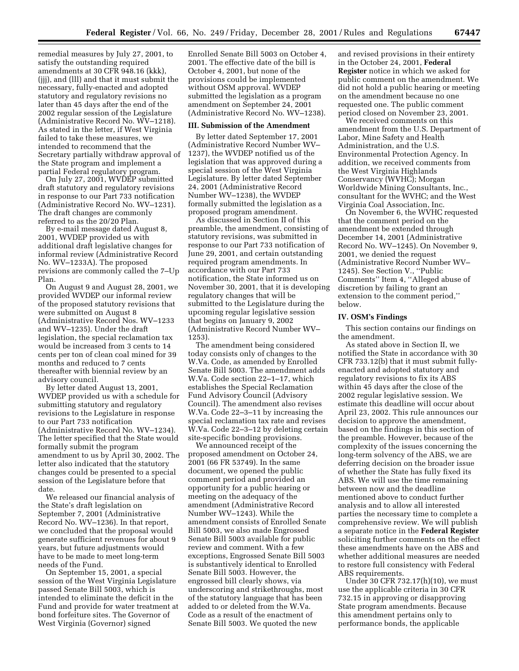remedial measures by July 27, 2001, to satisfy the outstanding required amendments at 30 CFR 948.16 (kkk), (jjj), and (lll) and that it must submit the necessary, fully-enacted and adopted statutory and regulatory revisions no later than 45 days after the end of the 2002 regular session of the Legislature (Administrative Record No. WV–1218). As stated in the letter, if West Virginia failed to take these measures, we intended to recommend that the Secretary partially withdraw approval of the State program and implement a partial Federal regulatory program.

On July 27, 2001, WVDEP submitted draft statutory and regulatory revisions in response to our Part 733 notification (Administrative Record No. WV–1231). The draft changes are commonly referred to as the 20/20 Plan.

By e-mail message dated August 8, 2001, WVDEP provided us with additional draft legislative changes for informal review (Administrative Record No. WV–1233A). The proposed revisions are commonly called the 7–Up Plan.

On August 9 and August 28, 2001, we provided WVDEP our informal review of the proposed statutory revisions that were submitted on August 8 (Administrative Record Nos. WV–1233 and WV–1235). Under the draft legislation, the special reclamation tax would be increased from 3 cents to 14 cents per ton of clean coal mined for 39 months and reduced to 7 cents thereafter with biennial review by an advisory council.

By letter dated August 13, 2001, WVDEP provided us with a schedule for submitting statutory and regulatory revisions to the Legislature in response to our Part 733 notification (Administrative Record No. WV–1234). The letter specified that the State would formally submit the program amendment to us by April 30, 2002. The letter also indicated that the statutory changes could be presented to a special session of the Legislature before that date.

We released our financial analysis of the State's draft legislation on September 7, 2001 (Administrative Record No. WV–1236). In that report, we concluded that the proposal would generate sufficient revenues for about 9 years, but future adjustments would have to be made to meet long-term needs of the Fund.

On September 15, 2001, a special session of the West Virginia Legislature passed Senate Bill 5003, which is intended to eliminate the deficit in the Fund and provide for water treatment at bond forfeiture sites. The Governor of West Virginia (Governor) signed

Enrolled Senate Bill 5003 on October 4, 2001. The effective date of the bill is October 4, 2001, but none of the provisions could be implemented without OSM approval. WVDEP submitted the legislation as a program amendment on September 24, 2001 (Administrative Record No. WV–1238).

#### **III. Submission of the Amendment**

By letter dated September 17, 2001 (Administrative Record Number WV– 1237), the WVDEP notified us of the legislation that was approved during a special session of the West Virginia Legislature. By letter dated September 24, 2001 (Administrative Record Number WV–1238), the WVDEP formally submitted the legislation as a proposed program amendment.

As discussed in Section II of this preamble, the amendment, consisting of statutory revisions, was submitted in response to our Part 733 notification of June 29, 2001, and certain outstanding required program amendments. In accordance with our Part 733 notification, the State informed us on November 30, 2001, that it is developing regulatory changes that will be submitted to the Legislature during the upcoming regular legislative session that begins on January 9, 2002 (Administrative Record Number WV– 1253).

The amendment being considered today consists only of changes to the W.Va. Code, as amended by Enrolled Senate Bill 5003. The amendment adds W.Va. Code section 22–1–17, which establishes the Special Reclamation Fund Advisory Council (Advisory Council). The amendment also revises W.Va. Code 22–3–11 by increasing the special reclamation tax rate and revises W.Va. Code 22–3–12 by deleting certain site-specific bonding provisions.

We announced receipt of the proposed amendment on October 24, 2001 (66 FR 53749). In the same document, we opened the public comment period and provided an opportunity for a public hearing or meeting on the adequacy of the amendment (Administrative Record Number WV–1243). While the amendment consists of Enrolled Senate Bill 5003, we also made Engrossed Senate Bill 5003 available for public review and comment. With a few exceptions, Engrossed Senate Bill 5003 is substantively identical to Enrolled Senate Bill 5003. However, the engrossed bill clearly shows, via underscoring and strikethroughs, most of the statutory language that has been added to or deleted from the W.Va. Code as a result of the enactment of Senate Bill 5003. We quoted the new

and revised provisions in their entirety in the October 24, 2001, **Federal Register** notice in which we asked for public comment on the amendment. We did not hold a public hearing or meeting on the amendment because no one requested one. The public comment period closed on November 23, 2001.

We received comments on this amendment from the U.S. Department of Labor, Mine Safety and Health Administration, and the U.S. Environmental Protection Agency. In addition, we received comments from the West Virginia Highlands Conservancy (WVHC); Morgan Worldwide Mining Consultants, Inc., consultant for the WVHC; and the West Virginia Coal Association, Inc.

On November 6, the WVHC requested that the comment period on the amendment be extended through December 14, 2001 (Administrative Record No. WV–1245). On November 9, 2001, we denied the request (Administrative Record Number WV– 1245). See Section V., ''Public Comments'' Item 4, ''Alleged abuse of discretion by failing to grant an extension to the comment period,'' below.

#### **IV. OSM's Findings**

This section contains our findings on the amendment.

As stated above in Section II, we notified the State in accordance with 30 CFR 733.12(b) that it must submit fullyenacted and adopted statutory and regulatory revisions to fix its ABS within 45 days after the close of the 2002 regular legislative session. We estimate this deadline will occur about April 23, 2002. This rule announces our decision to approve the amendment, based on the findings in this section of the preamble. However, because of the complexity of the issues concerning the long-term solvency of the ABS, we are deferring decision on the broader issue of whether the State has fully fixed its ABS. We will use the time remaining between now and the deadline mentioned above to conduct further analysis and to allow all interested parties the necessary time to complete a comprehensive review. We will publish a separate notice in the **Federal Register** soliciting further comments on the effect these amendments have on the ABS and whether additional measures are needed to restore full consistency with Federal ABS requirements.

Under 30 CFR 732.17(h)(10), we must use the applicable criteria in 30 CFR 732.15 in approving or disapproving State program amendments. Because this amendment pertains only to performance bonds, the applicable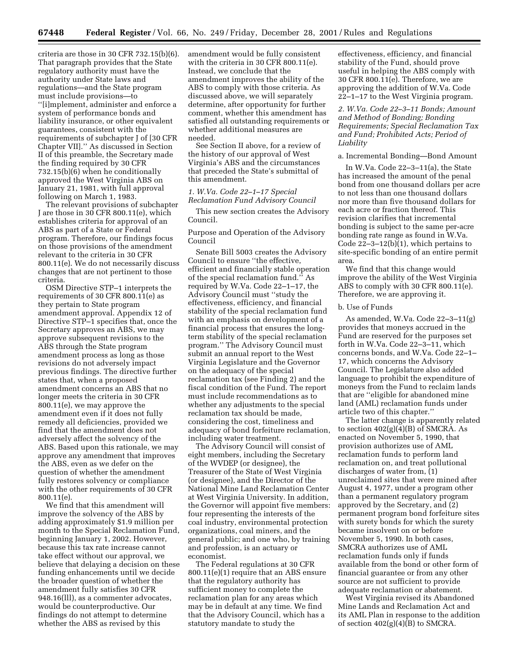criteria are those in 30 CFR 732.15(b)(6). That paragraph provides that the State regulatory authority must have the authority under State laws and regulations—and the State program must include provisions—to ''[i]mplement, administer and enforce a system of performance bonds and liability insurance, or other equivalent guarantees, consistent with the requirements of subchapter J of [30 CFR Chapter VII].'' As discussed in Section II of this preamble, the Secretary made the finding required by 30 CFR 732.15(b)(6) when he conditionally approved the West Virginia ABS on January 21, 1981, with full approval following on March 1, 1983.

The relevant provisions of subchapter J are those in 30 CFR 800.11(e), which establishes criteria for approval of an ABS as part of a State or Federal program. Therefore, our findings focus on those provisions of the amendment relevant to the criteria in 30 CFR 800.11(e). We do not necessarily discuss changes that are not pertinent to those criteria.

OSM Directive STP–1 interprets the requirements of 30 CFR 800.11(e) as they pertain to State program amendment approval. Appendix 12 of Directive STP–1 specifies that, once the Secretary approves an ABS, we may approve subsequent revisions to the ABS through the State program amendment process as long as those revisions do not adversely impact previous findings. The directive further states that, when a proposed amendment concerns an ABS that no longer meets the criteria in 30 CFR 800.11(e), we may approve the amendment even if it does not fully remedy all deficiencies, provided we find that the amendment does not adversely affect the solvency of the ABS. Based upon this rationale, we may approve any amendment that improves the ABS, even as we defer on the question of whether the amendment fully restores solvency or compliance with the other requirements of 30 CFR 800.11(e).

We find that this amendment will improve the solvency of the ABS by adding approximately \$1.9 million per month to the Special Reclamation Fund, beginning January 1, 2002. However, because this tax rate increase cannot take effect without our approval, we believe that delaying a decision on these funding enhancements until we decide the broader question of whether the amendment fully satisfies 30 CFR 948.16(lll), as a commenter advocates, would be counterproductive. Our findings do not attempt to determine whether the ABS as revised by this

amendment would be fully consistent with the criteria in 30 CFR 800.11(e). Instead, we conclude that the amendment improves the ability of the ABS to comply with those criteria. As discussed above, we will separately determine, after opportunity for further comment, whether this amendment has satisfied all outstanding requirements or whether additional measures are needed.

See Section II above, for a review of the history of our approval of West Virginia's ABS and the circumstances that preceded the State's submittal of this amendment.

## *1. W.Va. Code 22–1–17 Special Reclamation Fund Advisory Council*

This new section creates the Advisory Council.

Purpose and Operation of the Advisory Council

Senate Bill 5003 creates the Advisory Council to ensure ''the effective, efficient and financially stable operation of the special reclamation fund.'' As required by W.Va. Code 22–1–17, the Advisory Council must ''study the effectiveness, efficiency, and financial stability of the special reclamation fund with an emphasis on development of a financial process that ensures the longterm stability of the special reclamation program.'' The Advisory Council must submit an annual report to the West Virginia Legislature and the Governor on the adequacy of the special reclamation tax (see Finding 2) and the fiscal condition of the Fund. The report must include recommendations as to whether any adjustments to the special reclamation tax should be made, considering the cost, timeliness and adequacy of bond forfeiture reclamation, including water treatment.

The Advisory Council will consist of eight members, including the Secretary of the WVDEP (or designee), the Treasurer of the State of West Virginia (or designee), and the Director of the National Mine Land Reclamation Center at West Virginia University. In addition, the Governor will appoint five members: four representing the interests of the coal industry, environmental protection organizations, coal miners, and the general public; and one who, by training and profession, is an actuary or economist.

The Federal regulations at 30 CFR 800.11(e)(1) require that an ABS ensure that the regulatory authority has sufficient money to complete the reclamation plan for any areas which may be in default at any time. We find that the Advisory Council, which has a statutory mandate to study the

effectiveness, efficiency, and financial stability of the Fund, should prove useful in helping the ABS comply with 30 CFR 800.11(e). Therefore, we are approving the addition of W.Va. Code 22–1–17 to the West Virginia program.

*2. W.Va. Code 22–3–11 Bonds; Amount and Method of Bonding; Bonding Requirements; Special Reclamation Tax and Fund; Prohibited Acts; Period of Liability*

#### a. Incremental Bonding—Bond Amount

In W.Va. Code 22–3–11(a), the State has increased the amount of the penal bond from one thousand dollars per acre to not less than one thousand dollars nor more than five thousand dollars for each acre or fraction thereof. This revision clarifies that incremental bonding is subject to the same per-acre bonding rate range as found in W.Va. Code 22–3–12(b)(1), which pertains to site-specific bonding of an entire permit area.

We find that this change would improve the ability of the West Virginia ABS to comply with 30 CFR 800.11(e). Therefore, we are approving it.

#### b. Use of Funds

As amended, W.Va. Code 22–3–11(g) provides that moneys accrued in the Fund are reserved for the purposes set forth in W.Va. Code 22–3–11, which concerns bonds, and W.Va. Code 22–1– 17, which concerns the Advisory Council. The Legislature also added language to prohibit the expenditure of moneys from the Fund to reclaim lands that are ''eligible for abandoned mine land (AML) reclamation funds under article two of this chapter.''

The latter change is apparently related to section  $402(g)(4)(B)$  of SMCRA. As enacted on November 5, 1990, that provision authorizes use of AML reclamation funds to perform land reclamation on, and treat pollutional discharges of water from, (1) unreclaimed sites that were mined after August 4, 1977, under a program other than a permanent regulatory program approved by the Secretary, and (2) permanent program bond forfeiture sites with surety bonds for which the surety became insolvent on or before November 5, 1990. In both cases, SMCRA authorizes use of AML reclamation funds only if funds available from the bond or other form of financial guarantee or from any other source are not sufficient to provide adequate reclamation or abatement.

West Virginia revised its Abandoned Mine Lands and Reclamation Act and its AML Plan in response to the addition of section  $402(g)(4)(B)$  to SMCRA.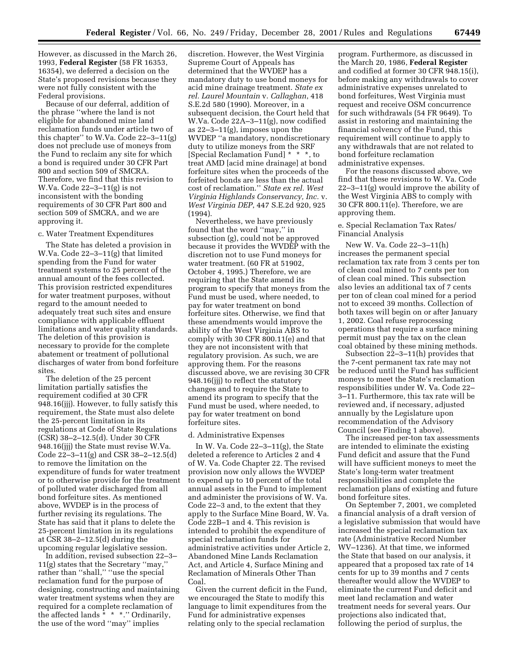However, as discussed in the March 26, 1993, **Federal Register** (58 FR 16353, 16354), we deferred a decision on the State's proposed revisions because they were not fully consistent with the Federal provisions.

Because of our deferral, addition of the phrase ''where the land is not eligible for abandoned mine land reclamation funds under article two of this chapter'' to W.Va. Code 22–3–11(g) does not preclude use of moneys from the Fund to reclaim any site for which a bond is required under 30 CFR Part 800 and section 509 of SMCRA. Therefore, we find that this revision to W.Va. Code 22–3–11(g) is not inconsistent with the bonding requirements of 30 CFR Part 800 and section 509 of SMCRA, and we are approving it.

#### c. Water Treatment Expenditures

The State has deleted a provision in W.Va. Code 22–3–11(g) that limited spending from the Fund for water treatment systems to 25 percent of the annual amount of the fees collected. This provision restricted expenditures for water treatment purposes, without regard to the amount needed to adequately treat such sites and ensure compliance with applicable effluent limitations and water quality standards. The deletion of this provision is necessary to provide for the complete abatement or treatment of pollutional discharges of water from bond forfeiture sites.

The deletion of the 25 percent limitation partially satisfies the requirement codified at 30 CFR 948.16(jjj). However, to fully satisfy this requirement, the State must also delete the 25-percent limitation in its regulations at Code of State Regulations (CSR) 38–2–12.5(d). Under 30 CFR 948.16(jjj) the State must revise W.Va. Code 22–3–11(g) and CSR 38–2–12.5(d) to remove the limitation on the expenditure of funds for water treatment or to otherwise provide for the treatment of polluted water discharged from all bond forfeiture sites. As mentioned above, WVDEP is in the process of further revising its regulations. The State has said that it plans to delete the 25-percent limitation in its regulations at CSR 38–2–12.5(d) during the upcoming regular legislative session.

In addition, revised subsection 22–3– 11(g) states that the Secretary ''may,'' rather than ''shall,'' ''use the special reclamation fund for the purpose of designing, constructing and maintaining water treatment systems when they are required for a complete reclamation of the affected lands \* \* \*.'' Ordinarily, the use of the word ''may'' implies

discretion. However, the West Virginia Supreme Court of Appeals has determined that the WVDEP has a mandatory duty to use bond moneys for acid mine drainage treatment. *State ex rel. Laurel Mountain* v. *Callaghan*, 418 S.E.2d 580 (1990). Moreover, in a subsequent decision, the Court held that W.Va. Code 22A–3–11(g), now codified as 22–3–11(g), imposes upon the WVDEP ''a mandatory, nondiscretionary duty to utilize moneys from the SRF [Special Reclamation Fund] \* \* \*, to treat AMD [acid mine drainage] at bond forfeiture sites when the proceeds of the forfeited bonds are less than the actual cost of reclamation.'' *State ex rel. West Virginia Highlands Conservancy, Inc.* v. *West Virginia DEP*, 447 S.E.2d 920, 925 (1994).

Nevertheless, we have previously found that the word ''may,'' in subsection (g), could not be approved because it provides the WVDEP with the discretion not to use Fund moneys for water treatment. (60 FR at 51902, October 4, 1995.) Therefore, we are requiring that the State amend its program to specify that moneys from the Fund must be used, where needed, to pay for water treatment on bond forfeiture sites. Otherwise, we find that these amendments would improve the ability of the West Virginia ABS to comply with 30 CFR 800.11(e) and that they are not inconsistent with that regulatory provision. As such, we are approving them. For the reasons discussed above, we are revising 30 CFR 948.16(jjj) to reflect the statutory changes and to require the State to amend its program to specify that the Fund must be used, where needed, to pay for water treatment on bond forfeiture sites.

#### d. Administrative Expenses

In W. Va. Code 22–3–11(g), the State deleted a reference to Articles 2 and 4 of W. Va. Code Chapter 22. The revised provision now only allows the WVDEP to expend up to 10 percent of the total annual assets in the Fund to implement and administer the provisions of W. Va. Code 22–3 and, to the extent that they apply to the Surface Mine Board, W. Va. Code 22B–1 and 4. This revision is intended to prohibit the expenditure of special reclamation funds for administrative activities under Article 2, Abandoned Mine Lands Reclamation Act, and Article 4, Surface Mining and Reclamation of Minerals Other Than Coal.

Given the current deficit in the Fund, we encouraged the State to modify this language to limit expenditures from the Fund for administrative expenses relating only to the special reclamation

program. Furthermore, as discussed in the March 20, 1986, **Federal Register** and codified at former 30 CFR 948.15(i), before making any withdrawals to cover administrative expenses unrelated to bond forfeitures, West Virginia must request and receive OSM concurrence for such withdrawals (54 FR 9649). To assist in restoring and maintaining the financial solvency of the Fund, this requirement will continue to apply to any withdrawals that are not related to bond forfeiture reclamation administrative expenses.

For the reasons discussed above, we find that these revisions to W. Va. Code 22–3–11(g) would improve the ability of the West Virginia ABS to comply with 30 CFR 800.11(e). Therefore, we are approving them.

#### e. Special Reclamation Tax Rates/ Financial Analysis

New W. Va. Code 22–3–11(h) increases the permanent special reclamation tax rate from 3 cents per ton of clean coal mined to 7 cents per ton of clean coal mined. This subsection also levies an additional tax of 7 cents per ton of clean coal mined for a period not to exceed 39 months. Collection of both taxes will begin on or after January 1, 2002. Coal refuse reprocessing operations that require a surface mining permit must pay the tax on the clean coal obtained by these mining methods.

Subsection 22–3–11(h) provides that the 7-cent permanent tax rate may not be reduced until the Fund has sufficient moneys to meet the State's reclamation responsibilities under W. Va. Code 22– 3–11. Furthermore, this tax rate will be reviewed and, if necessary, adjusted annually by the Legislature upon recommendation of the Advisory Council (see Finding 1 above).

The increased per-ton tax assessments are intended to eliminate the existing Fund deficit and assure that the Fund will have sufficient moneys to meet the State's long-term water treatment responsibilities and complete the reclamation plans of existing and future bond forfeiture sites.

On September 7, 2001, we completed a financial analysis of a draft version of a legislative submission that would have increased the special reclamation tax rate (Administrative Record Number WV–1236). At that time, we informed the State that based on our analysis, it appeared that a proposed tax rate of 14 cents for up to 39 months and 7 cents thereafter would allow the WVDEP to eliminate the current Fund deficit and meet land reclamation and water treatment needs for several years. Our projections also indicated that, following the period of surplus, the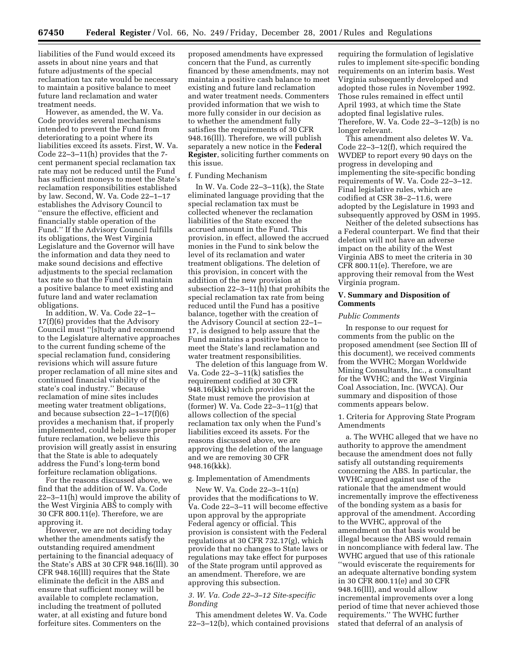liabilities of the Fund would exceed its assets in about nine years and that future adjustments of the special reclamation tax rate would be necessary to maintain a positive balance to meet future land reclamation and water treatment needs.

However, as amended, the W. Va. Code provides several mechanisms intended to prevent the Fund from deteriorating to a point where its liabilities exceed its assets. First, W. Va. Code 22–3–11(h) provides that the 7 cent permanent special reclamation tax rate may not be reduced until the Fund has sufficient moneys to meet the State's reclamation responsibilities established by law. Second, W. Va. Code 22–1–17 establishes the Advisory Council to ''ensure the effective, efficient and financially stable operation of the Fund.'' If the Advisory Council fulfills its obligations, the West Virginia Legislature and the Governor will have the information and data they need to make sound decisions and effective adjustments to the special reclamation tax rate so that the Fund will maintain a positive balance to meet existing and future land and water reclamation obligations.

In addition, W. Va. Code 22–1– 17(f)(6) provides that the Advisory Council must ''[s]tudy and recommend to the Legislature alternative approaches to the current funding scheme of the special reclamation fund, considering revisions which will assure future proper reclamation of all mine sites and continued financial viability of the state's coal industry.'' Because reclamation of mine sites includes meeting water treatment obligations, and because subsection 22–1–17(f)(6) provides a mechanism that, if properly implemented, could help assure proper future reclamation, we believe this provision will greatly assist in ensuring that the State is able to adequately address the Fund's long-term bond forfeiture reclamation obligations.

For the reasons discussed above, we find that the addition of W. Va. Code 22–3–11(h) would improve the ability of the West Virginia ABS to comply with 30 CFR 800.11(e). Therefore, we are approving it.

However, we are not deciding today whether the amendments satisfy the outstanding required amendment pertaining to the financial adequacy of the State's ABS at 30 CFR 948.16(lll). 30 CFR 948.16(lll) requires that the State eliminate the deficit in the ABS and ensure that sufficient money will be available to complete reclamation, including the treatment of polluted water, at all existing and future bond forfeiture sites. Commenters on the

proposed amendments have expressed concern that the Fund, as currently financed by these amendments, may not maintain a positive cash balance to meet existing and future land reclamation and water treatment needs. Commenters provided information that we wish to more fully consider in our decision as to whether the amendment fully satisfies the requirements of 30 CFR 948.16(lll). Therefore, we will publish separately a new notice in the **Federal Register**, soliciting further comments on this issue.

#### f. Funding Mechanism

In W. Va. Code 22–3–11(k), the State eliminated language providing that the special reclamation tax must be collected whenever the reclamation liabilities of the State exceed the accrued amount in the Fund. This provision, in effect, allowed the accrued monies in the Fund to sink below the level of its reclamation and water treatment obligations. The deletion of this provision, in concert with the addition of the new provision at subsection 22–3–11(h) that prohibits the special reclamation tax rate from being reduced until the Fund has a positive balance, together with the creation of the Advisory Council at section 22–1– 17, is designed to help assure that the Fund maintains a positive balance to meet the State's land reclamation and water treatment responsibilities.

The deletion of this language from W. Va. Code 22–3–11(k) satisfies the requirement codified at 30 CFR 948.16(kkk) which provides that the State must remove the provision at (former) W. Va. Code  $22-3-11(g)$  that allows collection of the special reclamation tax only when the Fund's liabilities exceed its assets. For the reasons discussed above, we are approving the deletion of the language and we are removing 30 CFR 948.16(kkk).

#### g. Implementation of Amendments

New W. Va. Code 22–3–11(n) provides that the modifications to W. Va. Code 22–3–11 will become effective upon approval by the appropriate Federal agency or official. This provision is consistent with the Federal regulations at 30 CFR 732.17(g), which provide that no changes to State laws or regulations may take effect for purposes of the State program until approved as an amendment. Therefore, we are approving this subsection.

# *3. W. Va. Code 22–3–12 Site-specific Bonding*

This amendment deletes W. Va. Code 22–3–12(b), which contained provisions requiring the formulation of legislative rules to implement site-specific bonding requirements on an interim basis. West Virginia subsequently developed and adopted those rules in November 1992. Those rules remained in effect until April 1993, at which time the State adopted final legislative rules. Therefore, W. Va. Code 22–3–12(b) is no longer relevant.

This amendment also deletes W. Va. Code 22–3–12(f), which required the WVDEP to report every 90 days on the progress in developing and implementing the site-specific bonding requirements of W. Va. Code 22–3–12. Final legislative rules, which are codified at CSR 38–2–11.6, were adopted by the Legislature in 1993 and subsequently approved by OSM in 1995.

Neither of the deleted subsections has a Federal counterpart. We find that their deletion will not have an adverse impact on the ability of the West Virginia ABS to meet the criteria in 30 CFR 800.11(e). Therefore, we are approving their removal from the West Virginia program.

#### **V. Summary and Disposition of Comments**

# *Public Comments*

In response to our request for comments from the public on the proposed amendment (see Section III of this document), we received comments from the WVHC; Morgan Worldwide Mining Consultants, Inc., a consultant for the WVHC; and the West Virginia Coal Association, Inc. (WVCA). Our summary and disposition of those comments appears below.

#### 1. Criteria for Approving State Program Amendments

a. The WVHC alleged that we have no authority to approve the amendment because the amendment does not fully satisfy all outstanding requirements concerning the ABS. In particular, the WVHC argued against use of the rationale that the amendment would incrementally improve the effectiveness of the bonding system as a basis for approval of the amendment. According to the WVHC, approval of the amendment on that basis would be illegal because the ABS would remain in noncompliance with federal law. The WVHC argued that use of this rationale ''would eviscerate the requirements for an adequate alternative bonding system in 30 CFR 800.11(e) and 30 CFR 948.16(lll), and would allow incremental improvements over a long period of time that never achieved those requirements.'' The WVHC further stated that deferral of an analysis of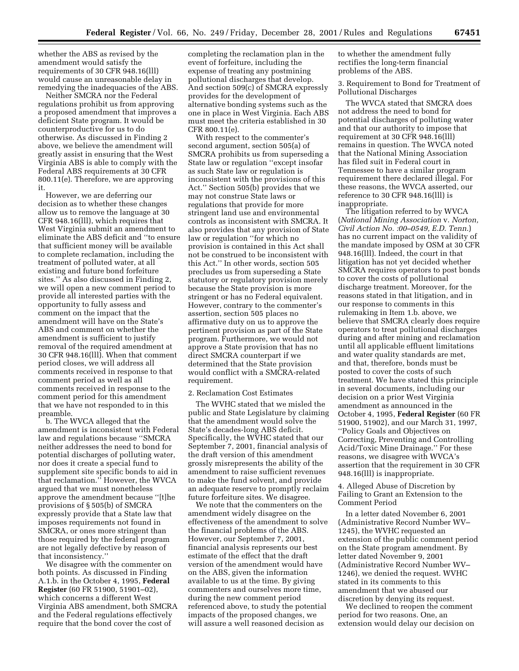whether the ABS as revised by the amendment would satisfy the requirements of 30 CFR 948.16(lll) would cause an unreasonable delay in remedying the inadequacies of the ABS.

Neither SMCRA nor the Federal regulations prohibit us from approving a proposed amendment that improves a deficient State program. It would be counterproductive for us to do otherwise. As discussed in Finding 2 above, we believe the amendment will greatly assist in ensuring that the West Virginia ABS is able to comply with the Federal ABS requirements at 30 CFR 800.11(e). Therefore, we are approving it.

However, we are deferring our decision as to whether these changes allow us to remove the language at 30 CFR 948.16(lll), which requires that West Virginia submit an amendment to eliminate the ABS deficit and ''to ensure that sufficient money will be available to complete reclamation, including the treatment of polluted water, at all existing and future bond forfeiture sites.'' As also discussed in Finding 2, we will open a new comment period to provide all interested parties with the opportunity to fully assess and comment on the impact that the amendment will have on the State's ABS and comment on whether the amendment is sufficient to justify removal of the required amendment at 30 CFR 948.16(lll). When that comment period closes, we will address all comments received in response to that comment period as well as all comments received in response to the comment period for this amendment that we have not responded to in this preamble.

b. The WVCA alleged that the amendment is inconsistent with Federal law and regulations because ''SMCRA neither addresses the need to bond for potential discharges of polluting water, nor does it create a special fund to supplement site specific bonds to aid in that reclamation.'' However, the WVCA argued that we must nonetheless approve the amendment because ''[t]he provisions of § 505(b) of SMCRA expressly provide that a State law that imposes requirements not found in SMCRA, or ones more stringent than those required by the federal program are not legally defective by reason of that inconsistency.''

We disagree with the commenter on both points. As discussed in Finding A.1.b. in the October 4, 1995, **Federal Register** (60 FR 51900, 51901–02), which concerns a different West Virginia ABS amendment, both SMCRA and the Federal regulations effectively require that the bond cover the cost of

completing the reclamation plan in the event of forfeiture, including the expense of treating any postmining pollutional discharges that develop. And section 509(c) of SMCRA expressly provides for the development of alternative bonding systems such as the one in place in West Virginia. Each ABS must meet the criteria established in 30 CFR 800.11(e).

With respect to the commenter's second argument, section 505(a) of SMCRA prohibits us from superseding a State law or regulation ''except insofar as such State law or regulation is inconsistent with the provisions of this Act.'' Section 505(b) provides that we may not construe State laws or regulations that provide for more stringent land use and environmental controls as inconsistent with SMCRA. It also provides that any provision of State law or regulation "for which no provision is contained in this Act shall not be construed to be inconsistent with this Act.'' In other words, section 505 precludes us from superseding a State statutory or regulatory provision merely because the State provision is more stringent or has no Federal equivalent. However, contrary to the commenter's assertion, section 505 places no affirmative duty on us to approve the pertinent provision as part of the State program. Furthermore, we would not approve a State provision that has no direct SMCRA counterpart if we determined that the State provision would conflict with a SMCRA-related requirement.

#### 2. Reclamation Cost Estimates

The WVHC stated that we misled the public and State Legislature by claiming that the amendment would solve the State's decades-long ABS deficit. Specifically, the WVHC stated that our September 7, 2001, financial analysis of the draft version of this amendment grossly misrepresents the ability of the amendment to raise sufficient revenues to make the fund solvent, and provide an adequate reserve to promptly reclaim future forfeiture sites. We disagree.

We note that the commenters on the amendment widely disagree on the effectiveness of the amendment to solve the financial problems of the ABS. However, our September 7, 2001, financial analysis represents our best estimate of the effect that the draft version of the amendment would have on the ABS, given the information available to us at the time. By giving commenters and ourselves more time, during the new comment period referenced above, to study the potential impacts of the proposed changes, we will assure a well reasoned decision as

to whether the amendment fully rectifies the long-term financial problems of the ABS.

3. Requirement to Bond for Treatment of Pollutional Discharges

The WVCA stated that SMCRA does not address the need to bond for potential discharges of polluting water and that our authority to impose that requirement at 30 CFR 948.16(lll) remains in question. The WVCA noted that the National Mining Association has filed suit in Federal court in Tennessee to have a similar program requirement there declared illegal. For these reasons, the WVCA asserted, our reference to 30 CFR 948.16(lll) is inappropriate.

The litigation referred to by WVCA (*National Mining Association* v. *Norton, Civil Action No. :00–0549, E.D. Tenn.*) has no current impact on the validity of the mandate imposed by OSM at 30 CFR 948.16(lll). Indeed, the court in that litigation has not yet decided whether SMCRA requires operators to post bonds to cover the costs of pollutional discharge treatment. Moreover, for the reasons stated in that litigation, and in our response to comments in this rulemaking in Item 1.b. above, we believe that SMCRA clearly does require operators to treat pollutional discharges during and after mining and reclamation until all applicable effluent limitations and water quality standards are met, and that, therefore, bonds must be posted to cover the costs of such treatment. We have stated this principle in several documents, including our decision on a prior West Virginia amendment as announced in the October 4, 1995, **Federal Register** (60 FR 51900, 51902), and our March 31, 1997, ''Policy Goals and Objectives on Correcting, Preventing and Controlling Acid/Toxic Mine Drainage.'' For these reasons, we disagree with WVCA's assertion that the requirement in 30 CFR 948.16(lll) is inappropriate.

4. Alleged Abuse of Discretion by Failing to Grant an Extension to the Comment Period

In a letter dated November 6, 2001 (Administrative Record Number WV– 1245), the WVHC requested an extension of the public comment period on the State program amendment. By letter dated November 9, 2001 (Administrative Record Number WV– 1246), we denied the request. WVHC stated in its comments to this amendment that we abused our discretion by denying its request.

We declined to reopen the comment period for two reasons. One, an extension would delay our decision on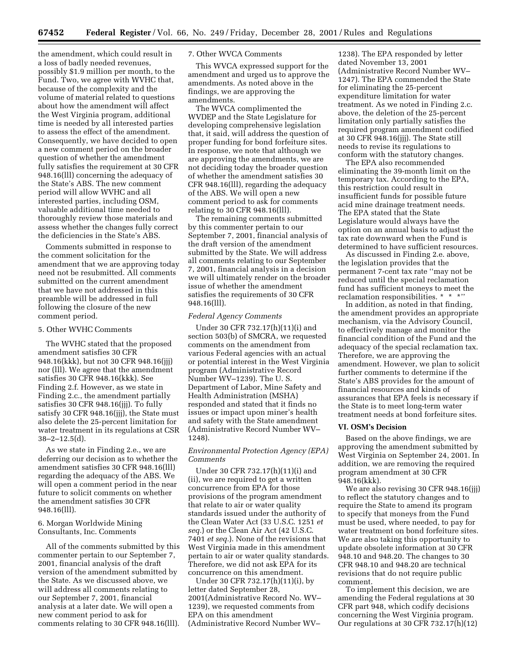the amendment, which could result in a loss of badly needed revenues, possibly \$1.9 million per month, to the Fund. Two, we agree with WVHC that, because of the complexity and the volume of material related to questions about how the amendment will affect the West Virginia program, additional time is needed by all interested parties to assess the effect of the amendment. Consequently, we have decided to open a new comment period on the broader question of whether the amendment fully satisfies the requirement at 30 CFR 948.16(lll) concerning the adequacy of the State's ABS. The new comment period will allow WVHC and all interested parties, including OSM, valuable additional time needed to thoroughly review those materials and assess whether the changes fully correct the deficiencies in the State's ABS.

Comments submitted in response to the comment solicitation for the amendment that we are approving today need not be resubmitted. All comments submitted on the current amendment that we have not addressed in this preamble will be addressed in full following the closure of the new comment period.

#### 5. Other WVHC Comments

The WVHC stated that the proposed amendment satisfies 30 CFR 948.16(kkk), but not 30 CFR 948.16(jjj) nor (lll). We agree that the amendment satisfies 30 CFR 948.16(kkk). See Finding 2.f. However, as we state in Finding 2.c., the amendment partially satisfies 30 CFR 948.16(jjj). To fully satisfy 30 CFR 948.16(jjj), the State must also delete the 25-percent limitation for water treatment in its regulations at CSR  $38 - 2 - 12.5(d)$ .

As we state in Finding 2.e., we are deferring our decision as to whether the amendment satisfies 30 CFR 948.16(lll) regarding the adequacy of the ABS. We will open a comment period in the near future to solicit comments on whether the amendment satisfies 30 CFR 948.16(lll).

#### 6. Morgan Worldwide Mining Consultants, Inc. Comments

All of the comments submitted by this commenter pertain to our September 7, 2001, financial analysis of the draft version of the amendment submitted by the State. As we discussed above, we will address all comments relating to our September 7, 2001, financial analysis at a later date. We will open a new comment period to ask for comments relating to 30 CFR 948.16(lll).

# 7. Other WVCA Comments

This WVCA expressed support for the amendment and urged us to approve the amendments. As noted above in the findings, we are approving the amendments.

The WVCA complimented the WVDEP and the State Legislature for developing comprehensive legislation that, it said, will address the question of proper funding for bond forfeiture sites. In response, we note that although we are approving the amendments, we are not deciding today the broader question of whether the amendment satisfies 30 CFR 948.16(lll), regarding the adequacy of the ABS. We will open a new comment period to ask for comments relating to 30 CFR 948.16(lll).

The remaining comments submitted by this commenter pertain to our September 7, 2001, financial analysis of the draft version of the amendment submitted by the State. We will address all comments relating to our September 7, 2001, financial analysis in a decision we will ultimately render on the broader issue of whether the amendment satisfies the requirements of 30 CFR 948.16(lll).

#### *Federal Agency Comments*

Under 30 CFR 732.17(h)(11)(i) and section 503(b) of SMCRA, we requested comments on the amendment from various Federal agencies with an actual or potential interest in the West Virginia program (Administrative Record Number WV–1239). The U. S. Department of Labor, Mine Safety and Health Administration (MSHA) responded and stated that it finds no issues or impact upon miner's health and safety with the State amendment (Administrative Record Number WV– 1248).

# *Environmental Protection Agency (EPA) Comments*

Under 30 CFR 732.17(h)(11)(i) and (ii), we are required to get a written concurrence from EPA for those provisions of the program amendment that relate to air or water quality standards issued under the authority of the Clean Water Act (33 U.S.C. 1251 *et seq.*) or the Clean Air Act (42 U.S.C. 7401 *et seq.*). None of the revisions that West Virginia made in this amendment pertain to air or water quality standards. Therefore, we did not ask EPA for its concurrence on this amendment.

Under 30 CFR 732.17(h)(11)(i), by letter dated September 28, 2001(Administrative Record No. WV– 1239), we requested comments from EPA on this amendment (Administrative Record Number WV–

1238). The EPA responded by letter dated November 13, 2001 (Administrative Record Number WV– 1247). The EPA commended the State for eliminating the 25-percent expenditure limitation for water treatment. As we noted in Finding 2.c. above, the deletion of the 25-percent limitation only partially satisfies the required program amendment codified at 30 CFR 948.16(jjj). The State still needs to revise its regulations to conform with the statutory changes.

The EPA also recommended eliminating the 39-month limit on the temporary tax. According to the EPA, this restriction could result in insufficient funds for possible future acid mine drainage treatment needs. The EPA stated that the State Legislature would always have the option on an annual basis to adjust the tax rate downward when the Fund is determined to have sufficient resources.

As discussed in Finding 2.e. above, the legislation provides that the permanent 7-cent tax rate ''may not be reduced until the special reclamation fund has sufficient moneys to meet the reclamation responsibilities. \* \* \*''

In addition, as noted in that finding, the amendment provides an appropriate mechanism, via the Advisory Council, to effectively manage and monitor the financial condition of the Fund and the adequacy of the special reclamation tax. Therefore, we are approving the amendment. However, we plan to solicit further comments to determine if the State's ABS provides for the amount of financial resources and kinds of assurances that EPA feels is necessary if the State is to meet long-term water treatment needs at bond forfeiture sites.

# **VI. OSM's Decision**

Based on the above findings, we are approving the amendment submitted by West Virginia on September 24, 2001. In addition, we are removing the required program amendment at 30 CFR 948.16(kkk).

We are also revising 30 CFR 948.16(jjj) to reflect the statutory changes and to require the State to amend its program to specify that moneys from the Fund must be used, where needed, to pay for water treatment on bond forfeiture sites. We are also taking this opportunity to update obsolete information at 30 CFR 948.10 and 948.20. The changes to 30 CFR 948.10 and 948.20 are technical revisions that do not require public comment.

To implement this decision, we are amending the Federal regulations at 30 CFR part 948, which codify decisions concerning the West Virginia program. Our regulations at 30 CFR 732.17(h)(12)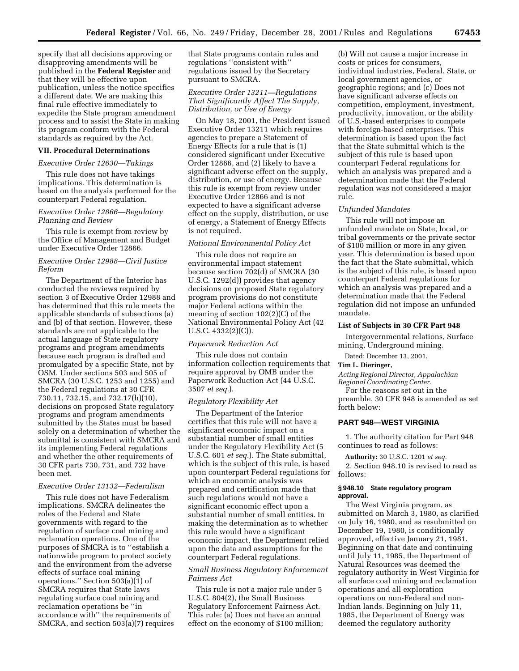specify that all decisions approving or disapproving amendments will be published in the **Federal Register** and that they will be effective upon publication, unless the notice specifies a different date. We are making this final rule effective immediately to expedite the State program amendment process and to assist the State in making its program conform with the Federal standards as required by the Act.

#### **VII. Procedural Determinations**

# *Executive Order 12630—Takings*

This rule does not have takings implications. This determination is based on the analysis performed for the counterpart Federal regulation.

#### *Executive Order 12866—Regulatory Planning and Review*

This rule is exempt from review by the Office of Management and Budget under Executive Order 12866.

# *Executive Order 12988—Civil Justice Reform*

The Department of the Interior has conducted the reviews required by section 3 of Executive Order 12988 and has determined that this rule meets the applicable standards of subsections (a) and (b) of that section. However, these standards are not applicable to the actual language of State regulatory programs and program amendments because each program is drafted and promulgated by a specific State, not by OSM. Under sections 503 and 505 of SMCRA (30 U.S.C. 1253 and 1255) and the Federal regulations at 30 CFR 730.11, 732.15, and 732.17(h)(10), decisions on proposed State regulatory programs and program amendments submitted by the States must be based solely on a determination of whether the submittal is consistent with SMCRA and its implementing Federal regulations and whether the other requirements of 30 CFR parts 730, 731, and 732 have been met.

# *Executive Order 13132—Federalism*

This rule does not have Federalism implications. SMCRA delineates the roles of the Federal and State governments with regard to the regulation of surface coal mining and reclamation operations. One of the purposes of SMCRA is to ''establish a nationwide program to protect society and the environment from the adverse effects of surface coal mining operations.'' Section 503(a)(1) of SMCRA requires that State laws regulating surface coal mining and reclamation operations be ''in accordance with'' the requirements of SMCRA, and section 503(a)(7) requires that State programs contain rules and regulations ''consistent with'' regulations issued by the Secretary pursuant to SMCRA.

# *Executive Order 13211—Regulations That Significantly Affect The Supply, Distribution, or Use of Energy*

On May 18, 2001, the President issued Executive Order 13211 which requires agencies to prepare a Statement of Energy Effects for a rule that is (1) considered significant under Executive Order 12866, and (2) likely to have a significant adverse effect on the supply, distribution, or use of energy. Because this rule is exempt from review under Executive Order 12866 and is not expected to have a significant adverse effect on the supply, distribution, or use of energy, a Statement of Energy Effects is not required.

# *National Environmental Policy Act*

This rule does not require an environmental impact statement because section 702(d) of SMCRA (30 U.S.C. 1292(d)) provides that agency decisions on proposed State regulatory program provisions do not constitute major Federal actions within the meaning of section 102(2)(C) of the National Environmental Policy Act (42 U.S.C. 4332(2)(C)).

# *Paperwork Reduction Act*

This rule does not contain information collection requirements that require approval by OMB under the Paperwork Reduction Act (44 U.S.C. 3507 *et seq.*).

#### *Regulatory Flexibility Act*

The Department of the Interior certifies that this rule will not have a significant economic impact on a substantial number of small entities under the Regulatory Flexibility Act (5 U.S.C. 601 *et seq.*). The State submittal, which is the subject of this rule, is based upon counterpart Federal regulations for which an economic analysis was prepared and certification made that such regulations would not have a significant economic effect upon a substantial number of small entities. In making the determination as to whether this rule would have a significant economic impact, the Department relied upon the data and assumptions for the counterpart Federal regulations.

#### *Small Business Regulatory Enforcement Fairness Act*

This rule is not a major rule under 5 U.S.C. 804(2), the Small Business Regulatory Enforcement Fairness Act. This rule: (a) Does not have an annual effect on the economy of \$100 million;

(b) Will not cause a major increase in costs or prices for consumers, individual industries, Federal, State, or local government agencies, or geographic regions; and (c) Does not have significant adverse effects on competition, employment, investment, productivity, innovation, or the ability of U.S.-based enterprises to compete with foreign-based enterprises. This determination is based upon the fact that the State submittal which is the subject of this rule is based upon counterpart Federal regulations for which an analysis was prepared and a determination made that the Federal regulation was not considered a major rule.

#### *Unfunded Mandates*

This rule will not impose an unfunded mandate on State, local, or tribal governments or the private sector of \$100 million or more in any given year. This determination is based upon the fact that the State submittal, which is the subject of this rule, is based upon counterpart Federal regulations for which an analysis was prepared and a determination made that the Federal regulation did not impose an unfunded mandate.

#### **List of Subjects in 30 CFR Part 948**

Intergovernmental relations, Surface mining, Underground mining.

Dated: December 13, 2001.

# **Tim L. Dieringer,**

*Acting Regional Director, Appalachian Regional Coordinating Center.*

For the reasons set out in the preamble, 30 CFR 948 is amended as set forth below:

#### **PART 948—WEST VIRGINIA**

1. The authority citation for Part 948 continues to read as follows:

**Authority:** 30 U.S.C. 1201 *et seq.*

2. Section 948.10 is revised to read as follows:

# **§ 948.10 State regulatory program approval.**

The West Virginia program, as submitted on March 3, 1980, as clarified on July 16, 1980, and as resubmitted on December 19, 1980, is conditionally approved, effective January 21, 1981. Beginning on that date and continuing until July 11, 1985, the Department of Natural Resources was deemed the regulatory authority in West Virginia for all surface coal mining and reclamation operations and all exploration operations on non-Federal and non-Indian lands. Beginning on July 11, 1985, the Department of Energy was deemed the regulatory authority